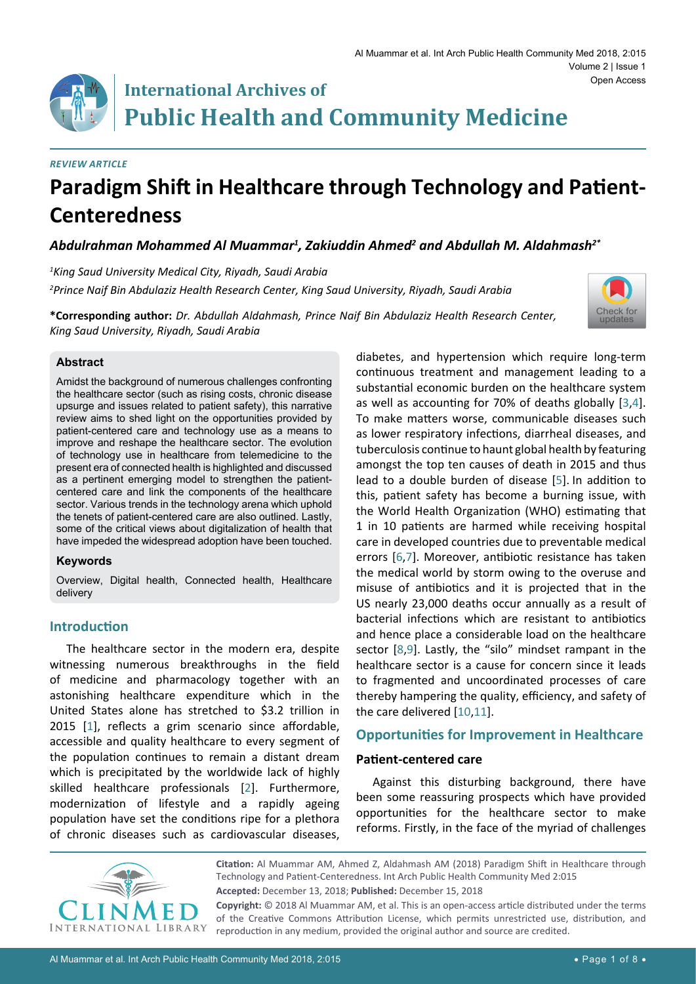*Review Article*

## **International Archives of Public Health and Community Medicine**

# **Paradigm Shift in Healthcare through Technology and Patient-Centeredness**

### *Abdulrahman Mohammed Al Muammar1 , Zakiuddin Ahmed2 and Abdullah M. Aldahmash2\**

*1 King Saud University Medical City, Riyadh, Saudi Arabia 2 Prince Naif Bin Abdulaziz Health Research Center, King Saud University, Riyadh, Saudi Arabia*

**\*Corresponding author:** *Dr. Abdullah Aldahmash, Prince Naif Bin Abdulaziz Health Research Center, King Saud University, Riyadh, Saudi Arabia*



#### **Abstract**

Amidst the background of numerous challenges confronting the healthcare sector (such as rising costs, chronic disease upsurge and issues related to patient safety), this narrative review aims to shed light on the opportunities provided by patient-centered care and technology use as a means to improve and reshape the healthcare sector. The evolution of technology use in healthcare from telemedicine to the present era of connected health is highlighted and discussed as a pertinent emerging model to strengthen the patientcentered care and link the components of the healthcare sector. Various trends in the technology arena which uphold the tenets of patient-centered care are also outlined. Lastly, some of the critical views about digitalization of health that have impeded the widespread adoption have been touched.

#### **Keywords**

Overview, Digital health, Connected health, Healthcare delivery

#### **Introduction**

The healthcare sector in the modern era, despite witnessing numerous breakthroughs in the field of medicine and pharmacology together with an astonishing healthcare expenditure which in the United States alone has stretched to \$3.2 trillion in 2015 [\[1\]](#page-5-9), reflects a grim scenario since affordable, accessible and quality healthcare to every segment of the population continues to remain a distant dream which is precipitated by the worldwide lack of highly skilled healthcare professionals [\[2\]](#page-5-10). Furthermore, modernization of lifestyle and a rapidly ageing population have set the conditions ripe for a plethora of chronic diseases such as cardiovascular diseases,

diabetes, and hypertension which require long-term continuous treatment and management leading to a substantial economic burden on the healthcare system as well as accounting for 70% of deaths globally [[3](#page-5-0)[,4\]](#page-5-1). To make matters worse, communicable diseases such as lower respiratory infections, diarrheal diseases, and tuberculosis continue to haunt global health by featuring amongst the top ten causes of death in 2015 and thus lead to a double burden of disease [[5](#page-5-2)]. In addition to this, patient safety has become a burning issue, with the World Health Organization (WHO) estimating that 1 in 10 patients are harmed while receiving hospital care in developed countries due to preventable medical errors [[6](#page-5-3),[7\]](#page-5-4). Moreover, antibiotic resistance has taken the medical world by storm owing to the overuse and misuse of antibiotics and it is projected that in the US nearly 23,000 deaths occur annually as a result of bacterial infections which are resistant to antibiotics and hence place a considerable load on the healthcare sector [[8](#page-5-5)[,9\]](#page-5-6). Lastly, the "silo" mindset rampant in the healthcare sector is a cause for concern since it leads to fragmented and uncoordinated processes of care thereby hampering the quality, efficiency, and safety of the care delivered [[10](#page-5-7),[11](#page-5-8)].

#### **Opportunities for Improvement in Healthcare**

#### **Patient-centered care**

Against this disturbing background, there have been some reassuring prospects which have provided opportunities for the healthcare sector to make reforms. Firstly, in the face of the myriad of challenges



**Citation:** Al Muammar AM, Ahmed Z, Aldahmash AM (2018) Paradigm Shift in Healthcare through Technology and Patient-Centeredness. Int Arch Public Health Community Med 2:015 **Accepted:** December 13, 2018; **Published:** December 15, 2018

**Copyright:** © 2018 Al Muammar AM, et al. This is an open-access article distributed under the terms of the Creative Commons Attribution License, which permits unrestricted use, distribution, and reproduction in any medium, provided the original author and source are credited.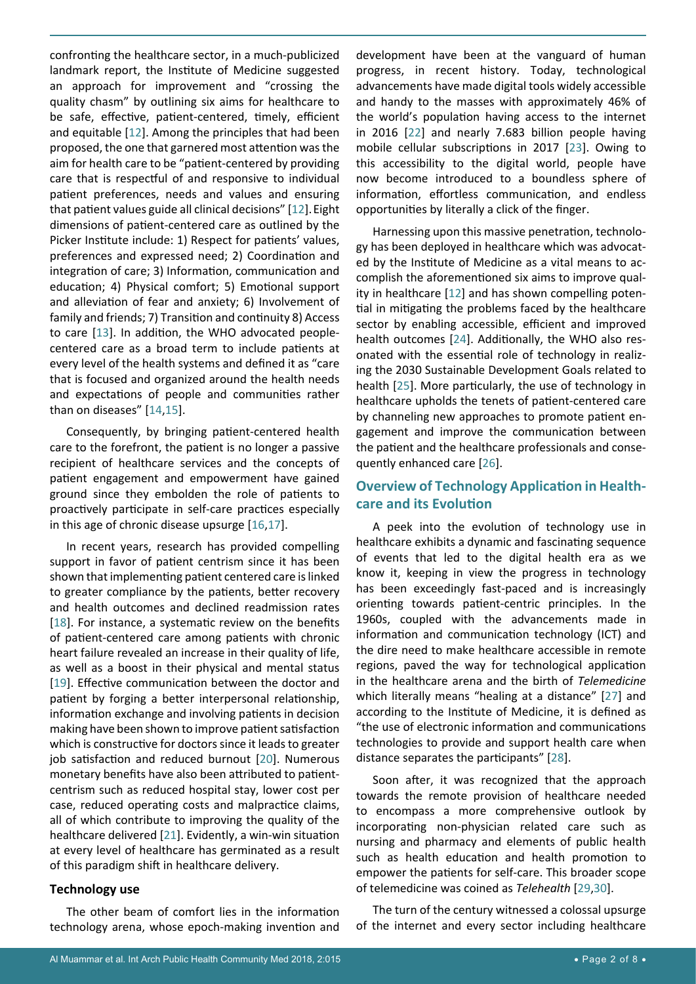confronting the healthcare sector, in a much-publicized landmark report, the Institute of Medicine suggested an approach for improvement and "crossing the quality chasm" by outlining six aims for healthcare to be safe, effective, patient-centered, timely, efficient and equitable [\[12](#page-5-11)]. Among the principles that had been proposed, the one that garnered most attention was the aim for health care to be "patient-centered by providing care that is respectful of and responsive to individual patient preferences, needs and values and ensuring that patient values guide all clinical decisions" [[12](#page-5-11)].Eight dimensions of patient-centered care as outlined by the Picker Institute include: 1) Respect for patients' values, preferences and expressed need; 2) Coordination and integration of care; 3) Information, communication and education; 4) Physical comfort; 5) Emotional support and alleviation of fear and anxiety; 6) Involvement of family and friends; 7) Transition and continuity 8) Access to care [\[13](#page-5-12)]. In addition, the WHO advocated peoplecentered care as a broad term to include patients at every level of the health systems and defined it as "care that is focused and organized around the health needs and expectations of people and communities rather than on diseases" [\[14](#page-5-13),[15](#page-5-14)].

Consequently, by bringing patient-centered health care to the forefront, the patient is no longer a passive recipient of healthcare services and the concepts of patient engagement and empowerment have gained ground since they embolden the role of patients to proactively participate in self-care practices especially in this age of chronic disease upsurge [\[16](#page-5-15),[17](#page-5-16)].

In recent years, research has provided compelling support in favor of patient centrism since it has been shown that implementing patient centered care is linked to greater compliance by the patients, better recovery and health outcomes and declined readmission rates [[18](#page-6-9)]. For instance, a systematic review on the benefits of patient-centered care among patients with chronic heart failure revealed an increase in their quality of life, as well as a boost in their physical and mental status [[19](#page-6-10)]. Effective communication between the doctor and patient by forging a better interpersonal relationship, information exchange and involving patients in decision making have been shown to improve patient satisfaction which is constructive for doctors since it leads to greater job satisfaction and reduced burnout [\[20](#page-6-11)]. Numerous monetary benefits have also been attributed to patientcentrism such as reduced hospital stay, lower cost per case, reduced operating costs and malpractice claims, all of which contribute to improving the quality of the healthcare delivered [\[21](#page-6-12)]. Evidently, a win-win situation at every level of healthcare has germinated as a result of this paradigm shift in healthcare delivery.

#### **Technology use**

The other beam of comfort lies in the information technology arena, whose epoch-making invention and

development have been at the vanguard of human progress, in recent history. Today, technological advancements have made digital tools widely accessible and handy to the masses with approximately 46% of the world's population having access to the internet in 2016 [\[22](#page-6-0)] and nearly 7.683 billion people having mobile cellular subscriptions in 2017 [\[23](#page-6-1)]. Owing to this accessibility to the digital world, people have now become introduced to a boundless sphere of information, effortless communication, and endless opportunities by literally a click of the finger.

Harnessing upon this massive penetration, technology has been deployed in healthcare which was advocated by the Institute of Medicine as a vital means to accomplish the aforementioned six aims to improve quality in healthcare [[12](#page-5-11)] and has shown compelling potential in mitigating the problems faced by the healthcare sector by enabling accessible, efficient and improved health outcomes [[24](#page-6-2)]. Additionally, the WHO also resonated with the essential role of technology in realizing the 2030 Sustainable Development Goals related to health [[25\]](#page-6-3). More particularly, the use of technology in healthcare upholds the tenets of patient-centered care by channeling new approaches to promote patient engagement and improve the communication between the patient and the healthcare professionals and consequently enhanced care [[26](#page-6-4)].

#### **Overview of Technology Application in Healthcare and its Evolution**

A peek into the evolution of technology use in healthcare exhibits a dynamic and fascinating sequence of events that led to the digital health era as we know it, keeping in view the progress in technology has been exceedingly fast-paced and is increasingly orienting towards patient-centric principles. In the 1960s, coupled with the advancements made in information and communication technology (ICT) and the dire need to make healthcare accessible in remote regions, paved the way for technological application in the healthcare arena and the birth of *Telemedicine* which literally means "healing at a distance" [[27](#page-6-5)] and according to the Institute of Medicine, it is defined as "the use of electronic information and communications technologies to provide and support health care when distance separates the participants" [\[28](#page-6-6)].

Soon after, it was recognized that the approach towards the remote provision of healthcare needed to encompass a more comprehensive outlook by incorporating non-physician related care such as nursing and pharmacy and elements of public health such as health education and health promotion to empower the patients for self-care. This broader scope of telemedicine was coined as *Telehealth* [\[29](#page-6-7),[30](#page-6-8)].

The turn of the century witnessed a colossal upsurge of the internet and every sector including healthcare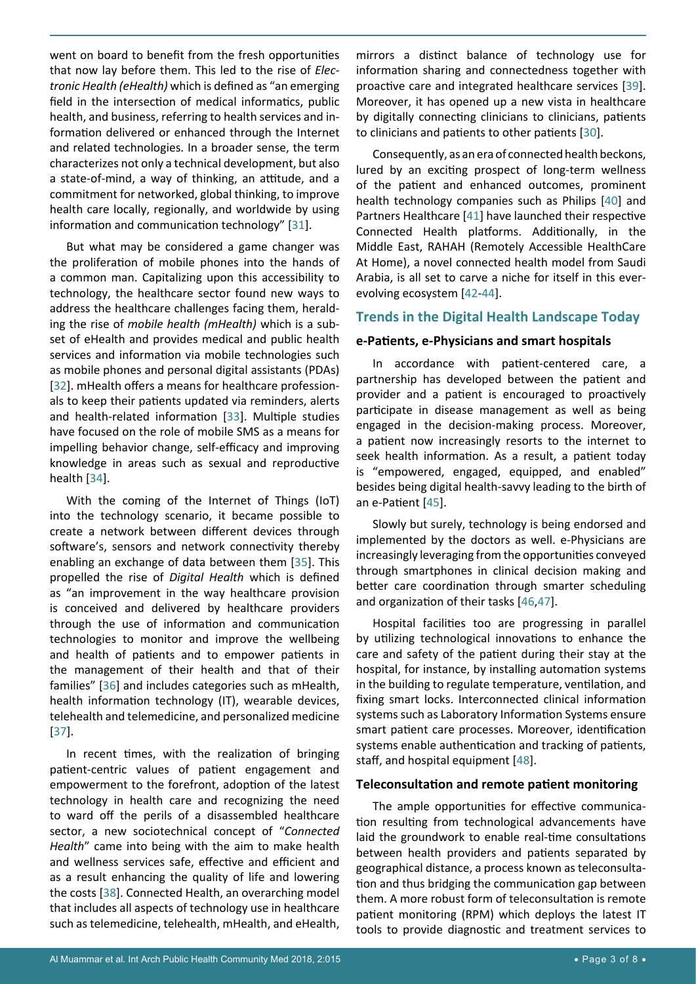went on board to benefit from the fresh opportunities that now lay before them. This led to the rise of *Electronic Health (eHealth)* which is defined as "an emerging field in the intersection of medical informatics, public health, and business, referring to health services and information delivered or enhanced through the Internet and related technologies. In a broader sense, the term characterizes not only a technical development, but also a state-of-mind, a way of thinking, an attitude, and a commitment for networked, global thinking, to improve health care locally, regionally, and worldwide by using information and communication technology" [[31](#page-6-22)].

But what may be considered a game changer was the proliferation of mobile phones into the hands of a common man. Capitalizing upon this accessibility to technology, the healthcare sector found new ways to address the healthcare challenges facing them, heralding the rise of *mobile health (mHealth)* which is a subset of eHealth and provides medical and public health services and information via mobile technologies such as mobile phones and personal digital assistants (PDAs) [[32](#page-6-23)]. mHealth offers a means for healthcare professionals to keep their patients updated via reminders, alerts and health-related information [[33](#page-6-24)]. Multiple studies have focused on the role of mobile SMS as a means for impelling behavior change, self-efficacy and improving knowledge in areas such as sexual and reproductive health [[34](#page-6-25)].

With the coming of the Internet of Things (IoT) into the technology scenario, it became possible to create a network between different devices through software's, sensors and network connectivity thereby enabling an exchange of data between them [\[35](#page-6-26)]. This propelled the rise of *Digital Health* which is defined as "an improvement in the way healthcare provision is conceived and delivered by healthcare providers through the use of information and communication technologies to monitor and improve the wellbeing and health of patients and to empower patients in the management of their health and that of their families" [[36](#page-6-27)] and includes categories such as mHealth, health information technology (IT), wearable devices, telehealth and telemedicine, and personalized medicine [[37](#page-6-28)].

In recent times, with the realization of bringing patient-centric values of patient engagement and empowerment to the forefront, adoption of the latest technology in health care and recognizing the need to ward off the perils of a disassembled healthcare sector, a new sociotechnical concept of "*Connected Health*" came into being with the aim to make health and wellness services safe, effective and efficient and as a result enhancing the quality of life and lowering the costs [[38](#page-6-29)]. Connected Health, an overarching model that includes all aspects of technology use in healthcare such as telemedicine, telehealth, mHealth, and eHealth,

mirrors a distinct balance of technology use for information sharing and connectedness together with proactive care and integrated healthcare services [[39\]](#page-6-13). Moreover, it has opened up a new vista in healthcare by digitally connecting clinicians to clinicians, patients to clinicians and patients to other patients [\[30](#page-6-8)].

Consequently, as an era of connected health beckons, lured by an exciting prospect of long-term wellness of the patient and enhanced outcomes, prominent health technology companies such as Philips [\[40](#page-6-14)] and Partners Healthcare [\[41](#page-6-15)] have launched their respective Connected Health platforms. Additionally, in the Middle East, RAHAH (Remotely Accessible HealthCare At Home), a novel connected health model from Saudi Arabia, is all set to carve a niche for itself in this everevolving ecosystem [[42](#page-6-16)[-44](#page-6-17)].

#### **Trends in the Digital Health Landscape Today**

#### **e-Patients, e-Physicians and smart hospitals**

In accordance with patient-centered care, a partnership has developed between the patient and provider and a patient is encouraged to proactively participate in disease management as well as being engaged in the decision-making process. Moreover, a patient now increasingly resorts to the internet to seek health information. As a result, a patient today is "empowered, engaged, equipped, and enabled" besides being digital health-savvy leading to the birth of an e-Patient [[45](#page-6-18)].

Slowly but surely, technology is being endorsed and implemented by the doctors as well. e-Physicians are increasingly leveraging from the opportunities conveyed through smartphones in clinical decision making and better care coordination through smarter scheduling and organization of their tasks [[46](#page-6-19),[47](#page-6-20)].

Hospital facilities too are progressing in parallel by utilizing technological innovations to enhance the care and safety of the patient during their stay at the hospital, for instance, by installing automation systems in the building to regulate temperature, ventilation, and fixing smart locks. Interconnected clinical information systems such as Laboratory Information Systems ensure smart patient care processes. Moreover, identification systems enable authentication and tracking of patients, staff, and hospital equipment [[48](#page-6-21)].

#### **Teleconsultation and remote patient monitoring**

The ample opportunities for effective communication resulting from technological advancements have laid the groundwork to enable real-time consultations between health providers and patients separated by geographical distance, a process known as teleconsultation and thus bridging the communication gap between them. A more robust form of teleconsultation is remote patient monitoring (RPM) which deploys the latest IT tools to provide diagnostic and treatment services to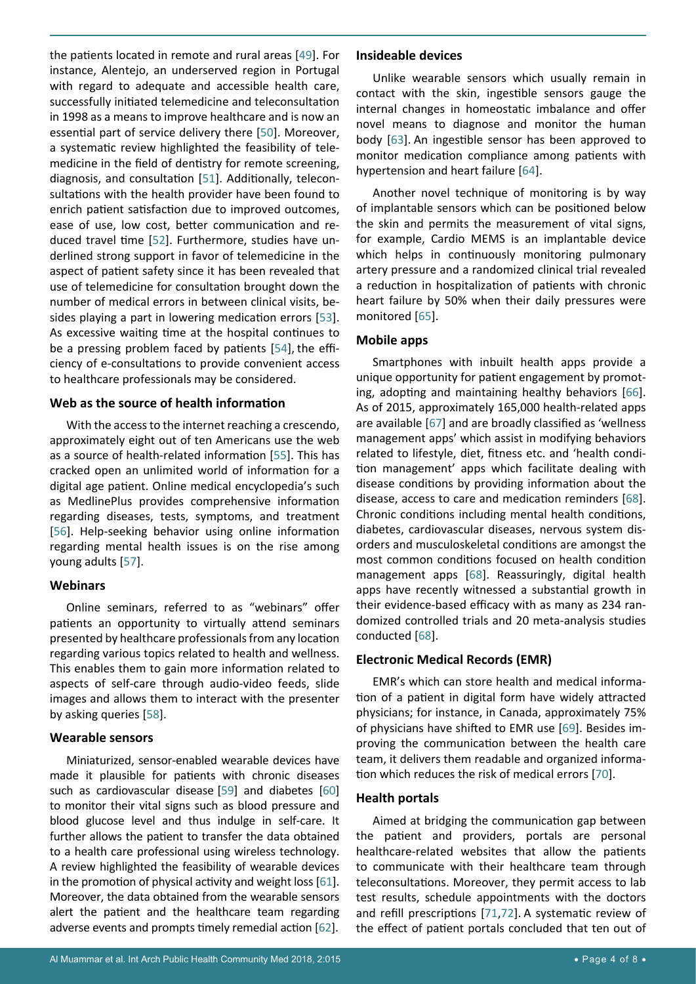the patients located in remote and rural areas [[49](#page-6-30)]. For instance, Alentejo, an underserved region in Portugal with regard to adequate and accessible health care, successfully initiated telemedicine and teleconsultation in 1998 as a means to improve healthcare and is now an essential part of service delivery there [[50\]](#page-6-31). Moreover, a systematic review highlighted the feasibility of telemedicine in the field of dentistry for remote screening, diagnosis, and consultation [\[51](#page-6-32)]. Additionally, teleconsultations with the health provider have been found to enrich patient satisfaction due to improved outcomes, ease of use, low cost, better communication and reduced travel time [\[52\]](#page-6-33). Furthermore, studies have underlined strong support in favor of telemedicine in the aspect of patient safety since it has been revealed that use of telemedicine for consultation brought down the number of medical errors in between clinical visits, besides playing a part in lowering medication errors [\[53](#page-6-34)]. As excessive waiting time at the hospital continues to be a pressing problem faced by patients [[54](#page-6-35)], the efficiency of e-consultations to provide convenient access to healthcare professionals may be considered.

#### **Web as the source of health information**

With the access to the internet reaching a crescendo, approximately eight out of ten Americans use the web as a source of health-related information [\[55](#page-6-36)]. This has cracked open an unlimited world of information for a digital age patient. Online medical encyclopedia's such as MedlinePlus provides comprehensive information regarding diseases, tests, symptoms, and treatment [[56](#page-6-37)]. Help-seeking behavior using online information regarding mental health issues is on the rise among young adults [[57](#page-6-38)].

#### **Webinars**

Online seminars, referred to as "webinars" offer patients an opportunity to virtually attend seminars presented by healthcare professionals from any location regarding various topics related to health and wellness. This enables them to gain more information related to aspects of self-care through audio-video feeds, slide images and allows them to interact with the presenter by asking queries [\[58](#page-6-39)].

#### **Wearable sensors**

Miniaturized, sensor-enabled wearable devices have made it plausible for patients with chronic diseases such as cardiovascular disease [\[59](#page-6-40)] and diabetes [\[60](#page-6-41)] to monitor their vital signs such as blood pressure and blood glucose level and thus indulge in self-care. It further allows the patient to transfer the data obtained to a health care professional using wireless technology. A review highlighted the feasibility of wearable devices in the promotion of physical activity and weight loss  $[61]$  $[61]$  $[61]$ . Moreover, the data obtained from the wearable sensors alert the patient and the healthcare team regarding adverse events and prompts timely remedial action [[62](#page-7-11)].

#### **Insideable devices**

Unlike wearable sensors which usually remain in contact with the skin, ingestible sensors gauge the internal changes in homeostatic imbalance and offer novel means to diagnose and monitor the human body [[63\]](#page-7-0). An ingestible sensor has been approved to monitor medication compliance among patients with hypertension and heart failure [[64](#page-7-1)].

Another novel technique of monitoring is by way of implantable sensors which can be positioned below the skin and permits the measurement of vital signs, for example, Cardio MEMS is an implantable device which helps in continuously monitoring pulmonary artery pressure and a randomized clinical trial revealed a reduction in hospitalization of patients with chronic heart failure by 50% when their daily pressures were monitored [\[65](#page-7-2)].

#### **Mobile apps**

Smartphones with inbuilt health apps provide a unique opportunity for patient engagement by promoting, adopting and maintaining healthy behaviors [[66\]](#page-7-3). As of 2015, approximately 165,000 health-related apps are available [\[67](#page-7-4)] and are broadly classified as 'wellness management apps' which assist in modifying behaviors related to lifestyle, diet, fitness etc. and 'health condition management' apps which facilitate dealing with disease conditions by providing information about the disease, access to care and medication reminders [[68\]](#page-7-5). Chronic conditions including mental health conditions, diabetes, cardiovascular diseases, nervous system disorders and musculoskeletal conditions are amongst the most common conditions focused on health condition management apps [[68](#page-7-5)]. Reassuringly, digital health apps have recently witnessed a substantial growth in their evidence-based efficacy with as many as 234 randomized controlled trials and 20 meta-analysis studies conducted [[68](#page-7-5)].

#### **Electronic Medical Records (EMR)**

EMR's which can store health and medical information of a patient in digital form have widely attracted physicians; for instance, in Canada, approximately 75% of physicians have shifted to EMR use [[69](#page-7-6)]. Besides improving the communication between the health care team, it delivers them readable and organized information which reduces the risk of medical errors [\[70](#page-7-7)].

#### **Health portals**

Aimed at bridging the communication gap between the patient and providers, portals are personal healthcare-related websites that allow the patients to communicate with their healthcare team through teleconsultations. Moreover, they permit access to lab test results, schedule appointments with the doctors and refill prescriptions [[71](#page-7-8),[72](#page-7-9)]. A systematic review of the effect of patient portals concluded that ten out of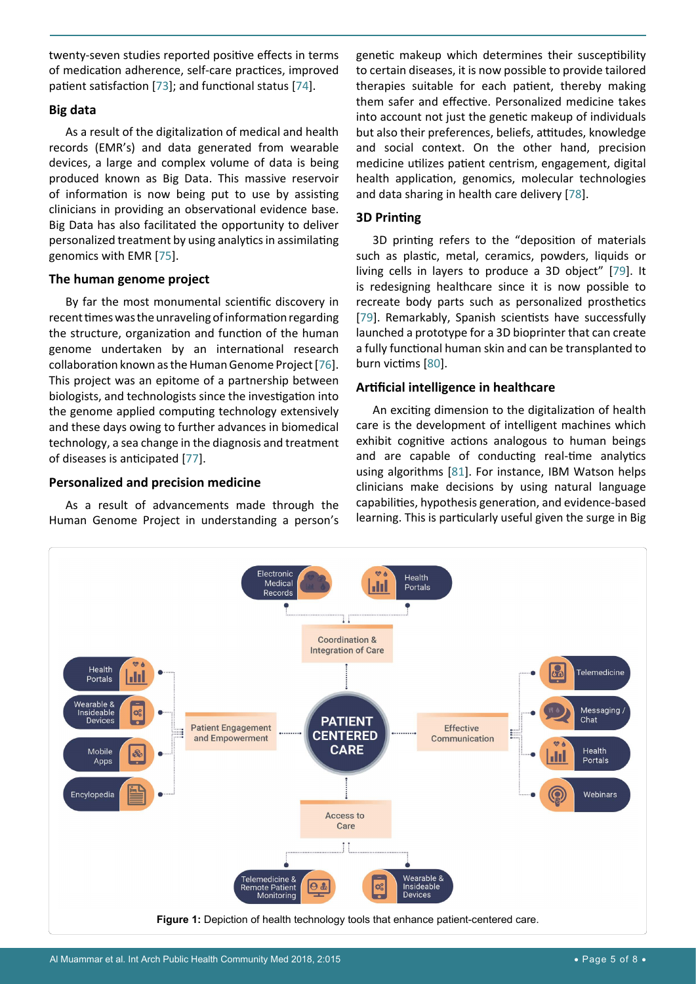twenty-seven studies reported positive effects in terms of medication adherence, self-care practices, improved patient satisfaction [\[73](#page-7-16)]; and functional status [\[74](#page-7-17)].

#### **Big data**

As a result of the digitalization of medical and health records (EMR's) and data generated from wearable devices, a large and complex volume of data is being produced known as Big Data. This massive reservoir of information is now being put to use by assisting clinicians in providing an observational evidence base. Big Data has also facilitated the opportunity to deliver personalized treatment by using analytics in assimilating genomics with EMR [[75](#page-7-18)].

#### **The human genome project**

By far the most monumental scientific discovery in recent times was the unraveling of information regarding the structure, organization and function of the human genome undertaken by an international research collaboration known as the Human Genome Project [[76](#page-7-19)]. This project was an epitome of a partnership between biologists, and technologists since the investigation into the genome applied computing technology extensively and these days owing to further advances in biomedical technology, a sea change in the diagnosis and treatment of diseases is anticipated [[77](#page-7-20)].

#### **Personalized and precision medicine**

As a result of advancements made through the Human Genome Project in understanding a person's genetic makeup which determines their susceptibility to certain diseases, it is now possible to provide tailored therapies suitable for each patient, thereby making them safer and effective. Personalized medicine takes into account not just the genetic makeup of individuals but also their preferences, beliefs, attitudes, knowledge and social context. On the other hand, precision medicine utilizes patient centrism, engagement, digital health application, genomics, molecular technologies and data sharing in health care delivery [[78](#page-7-12)].

#### **3D Printing**

3D printing refers to the "deposition of materials such as plastic, metal, ceramics, powders, liquids or living cells in layers to produce a 3D object" [\[79](#page-7-13)]. It is redesigning healthcare since it is now possible to recreate body parts such as personalized prosthetics [\[79](#page-7-13)]. Remarkably, Spanish scientists have successfully launched a prototype for a 3D bioprinter that can create a fully functional human skin and can be transplanted to burn victims [[80](#page-7-14)].

#### **Artificial intelligence in healthcare**

An exciting dimension to the digitalization of health care is the development of intelligent machines which exhibit cognitive actions analogous to human beings and are capable of conducting real-time analytics using algorithms [\[81\]](#page-7-15). For instance, IBM Watson helps clinicians make decisions by using natural language capabilities, hypothesis generation, and evidence-based learning. This is particularly useful given the surge in Big

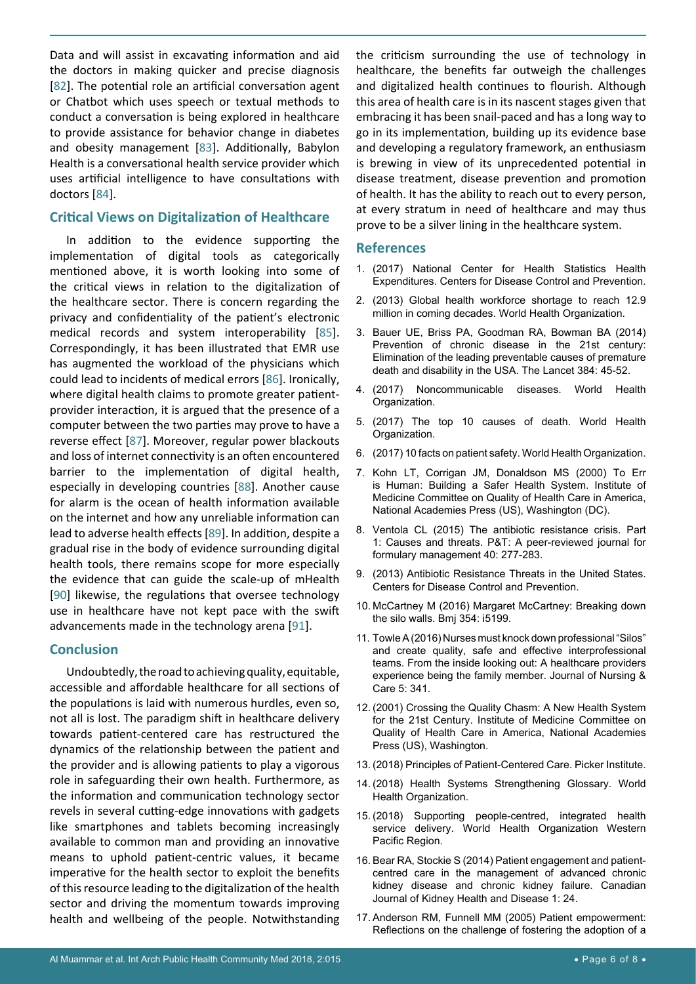Data and will assist in excavating information and aid the doctors in making quicker and precise diagnosis [[82](#page-7-21)]. The potential role an artificial conversation agent or Chatbot which uses speech or textual methods to conduct a conversation is being explored in healthcare to provide assistance for behavior change in diabetes and obesity management [[83](#page-7-22)]. Additionally, Babylon Health is a conversational health service provider which uses artificial intelligence to have consultations with doctors [[84](#page-7-23)].

#### **Critical Views on Digitalization of Healthcare**

In addition to the evidence supporting the implementation of digital tools as categorically mentioned above, it is worth looking into some of the critical views in relation to the digitalization of the healthcare sector. There is concern regarding the privacy and confidentiality of the patient's electronic medical records and system interoperability [\[85](#page-7-24)]. Correspondingly, it has been illustrated that EMR use has augmented the workload of the physicians which could lead to incidents of medical errors [[86\]](#page-7-25). Ironically, where digital health claims to promote greater patientprovider interaction, it is argued that the presence of a computer between the two parties may prove to have a reverse effect [[87\]](#page-7-26). Moreover, regular power blackouts and loss of internet connectivity is an often encountered barrier to the implementation of digital health, especially in developing countries [[88\]](#page-7-27). Another cause for alarm is the ocean of health information available on the internet and how any unreliable information can lead to adverse health effects [[89](#page-7-28)]. In addition, despite a gradual rise in the body of evidence surrounding digital health tools, there remains scope for more especially the evidence that can guide the scale-up of mHealth [[90](#page-7-29)] likewise, the regulations that oversee technology use in healthcare have not kept pace with the swift advancements made in the technology arena [[91](#page-7-30)].

#### **Conclusion**

Undoubtedly, the road to achieving quality, equitable, accessible and affordable healthcare for all sections of the populations is laid with numerous hurdles, even so, not all is lost. The paradigm shift in healthcare delivery towards patient-centered care has restructured the dynamics of the relationship between the patient and the provider and is allowing patients to play a vigorous role in safeguarding their own health. Furthermore, as the information and communication technology sector revels in several cutting-edge innovations with gadgets like smartphones and tablets becoming increasingly available to common man and providing an innovative means to uphold patient-centric values, it became imperative for the health sector to exploit the benefits of this resource leading to the digitalization of the health sector and driving the momentum towards improving health and wellbeing of the people. Notwithstanding

the criticism surrounding the use of technology in healthcare, the benefits far outweigh the challenges and digitalized health continues to flourish. Although this area of health care is in its nascent stages given that embracing it has been snail-paced and has a long way to go in its implementation, building up its evidence base and developing a regulatory framework, an enthusiasm is brewing in view of its unprecedented potential in disease treatment, disease prevention and promotion of health. It has the ability to reach out to every person, at every stratum in need of healthcare and may thus prove to be a silver lining in the healthcare system.

#### **References**

- <span id="page-5-9"></span>1. [\(2017\) National Center for Health Statistics Health](https://www.cdc.gov/nchs/fastats/health-expenditures.htm)  [Expenditures. Centers for Disease Control and Prevention.](https://www.cdc.gov/nchs/fastats/health-expenditures.htm)
- <span id="page-5-10"></span>2. [\(2013\) Global health workforce shortage to reach 12.9](https://www.who.int/mediacentre/news/releases/2013/health-workforce-shortage/en/)  [million in coming decades. World Health Organization.](https://www.who.int/mediacentre/news/releases/2013/health-workforce-shortage/en/)
- <span id="page-5-0"></span>3. [Bauer UE, Briss PA, Goodman RA, Bowman BA \(2014\)](https://www.thelancet.com/journals/lancet/article/PIIS0140-6736(14)60648-6/fulltext)  [Prevention of chronic disease in the 21st century:](https://www.thelancet.com/journals/lancet/article/PIIS0140-6736(14)60648-6/fulltext)  [Elimination of the leading preventable causes of premature](https://www.thelancet.com/journals/lancet/article/PIIS0140-6736(14)60648-6/fulltext)  [death and disability in the USA. The Lancet 384: 45-52.](https://www.thelancet.com/journals/lancet/article/PIIS0140-6736(14)60648-6/fulltext)
- <span id="page-5-1"></span>4. [\(2017\) Noncommunicable diseases. World Health](https://www.who.int/en/news-room/fact-sheets/detail/noncommunicable-diseases)  [Organization.](https://www.who.int/en/news-room/fact-sheets/detail/noncommunicable-diseases)
- <span id="page-5-2"></span>5. [\(2017\) The top 10 causes of death. World Health](https://www.who.int/en/news-room/fact-sheets/detail/the-top-10-causes-of-death)  [Organization.](https://www.who.int/en/news-room/fact-sheets/detail/the-top-10-causes-of-death)
- <span id="page-5-3"></span>6. [\(2017\) 10 facts on patient safety. World Health Organization.](https://www.who.int/features/factfiles/patient_safety/en/)
- <span id="page-5-4"></span>7. [Kohn LT, Corrigan JM, Donaldson MS \(2000\) To Err](https://www.ncbi.nlm.nih.gov/pubmed/25077248)  [is Human: Building a Safer Health System. Institute of](https://www.ncbi.nlm.nih.gov/pubmed/25077248)  [Medicine Committee on Quality of Health Care in America,](https://www.ncbi.nlm.nih.gov/pubmed/25077248)  [National Academies Press \(US\), Washington \(DC\).](https://www.ncbi.nlm.nih.gov/pubmed/25077248)
- <span id="page-5-5"></span>8. [Ventola CL \(2015\) The antibiotic resistance crisis. Part](https://www.ncbi.nlm.nih.gov/pmc/articles/PMC4378521/)  [1: Causes and threats. P&T: A peer-reviewed journal for](https://www.ncbi.nlm.nih.gov/pmc/articles/PMC4378521/)  [formulary management 40: 277-283.](https://www.ncbi.nlm.nih.gov/pmc/articles/PMC4378521/)
- <span id="page-5-6"></span>9. [\(2013\) Antibiotic Resistance Threats in the United States.](https://www.cdc.gov/drugresistance/biggest_threats.html?CDC_AA_refVal=https%3A%2F%2Fwww.cdc.gov%2Fdrugresistance%2Fthreat-report-2013%2Findex.html)  [Centers for Disease Control and Prevention.](https://www.cdc.gov/drugresistance/biggest_threats.html?CDC_AA_refVal=https%3A%2F%2Fwww.cdc.gov%2Fdrugresistance%2Fthreat-report-2013%2Findex.html)
- <span id="page-5-7"></span>10. [McCartney M \(2016\) Margaret McCartney: Breaking down](https://www.bmj.com/content/354/bmj.i5199)  [the silo walls. Bmj 354: i5199.](https://www.bmj.com/content/354/bmj.i5199)
- <span id="page-5-8"></span>11. [Towle A \(2016\) Nurses must knock down professional "Silos"](https://www.omicsonline.org/open-access/nurses-must-knock-down-professional-silos-and-create-quality-safe-and-effective-interprofessional-teams-from-the-inside-looking-ou-2167-1168-1000341.php?aid=74249)  [and create quality, safe and effective interprofessional](https://www.omicsonline.org/open-access/nurses-must-knock-down-professional-silos-and-create-quality-safe-and-effective-interprofessional-teams-from-the-inside-looking-ou-2167-1168-1000341.php?aid=74249)  [teams. From the inside looking out: A healthcare providers](https://www.omicsonline.org/open-access/nurses-must-knock-down-professional-silos-and-create-quality-safe-and-effective-interprofessional-teams-from-the-inside-looking-ou-2167-1168-1000341.php?aid=74249)  [experience being the family member. Journal of Nursing &](https://www.omicsonline.org/open-access/nurses-must-knock-down-professional-silos-and-create-quality-safe-and-effective-interprofessional-teams-from-the-inside-looking-ou-2167-1168-1000341.php?aid=74249)  [Care 5: 341.](https://www.omicsonline.org/open-access/nurses-must-knock-down-professional-silos-and-create-quality-safe-and-effective-interprofessional-teams-from-the-inside-looking-ou-2167-1168-1000341.php?aid=74249)
- <span id="page-5-11"></span>12. [\(2001\) Crossing the Quality Chasm: A New Health System](https://www.ncbi.nlm.nih.gov/pubmed/25057539)  [for the 21st Century. Institute of Medicine Committee on](https://www.ncbi.nlm.nih.gov/pubmed/25057539)  [Quality of Health Care in America, National Academies](https://www.ncbi.nlm.nih.gov/pubmed/25057539)  [Press \(US\), Washington.](https://www.ncbi.nlm.nih.gov/pubmed/25057539)
- <span id="page-5-12"></span>13. [\(2018\) Principles of Patient-Centered Care. Picker Institute.](https://www.picker.org/about-us/picker-principles-of-person-centred-care/)
- <span id="page-5-13"></span>14. [\(2018\) Health Systems Strengthening Glossary. World](https://www.who.int/healthsystems/hss_glossary/en/index8.html)  [Health Organization.](https://www.who.int/healthsystems/hss_glossary/en/index8.html)
- <span id="page-5-14"></span>15. [\(2018\) Supporting people-centred, integrated health](https://www.who.int/westernpacific/activities/supporting-people-centred-integrated-health-service-delivery)  [service delivery. World Health Organization Western](https://www.who.int/westernpacific/activities/supporting-people-centred-integrated-health-service-delivery)  [Pacific Region.](https://www.who.int/westernpacific/activities/supporting-people-centred-integrated-health-service-delivery)
- <span id="page-5-15"></span>16. [Bear RA, Stockie S \(2014\) Patient engagement and patient](https://journals.sagepub.com/doi/10.1186/s40697-014-0024-7)[centred care in the management of advanced chronic](https://journals.sagepub.com/doi/10.1186/s40697-014-0024-7)  [kidney disease and chronic kidney failure. Canadian](https://journals.sagepub.com/doi/10.1186/s40697-014-0024-7)  [Journal of Kidney Health and Disease 1: 24.](https://journals.sagepub.com/doi/10.1186/s40697-014-0024-7)
- <span id="page-5-16"></span>17. [Anderson RM, Funnell MM \(2005\) Patient empowerment:](https://www.sciencedirect.com/science/article/pii/S073839910400165X)  [Reflections on the challenge of fostering the adoption of a](https://www.sciencedirect.com/science/article/pii/S073839910400165X)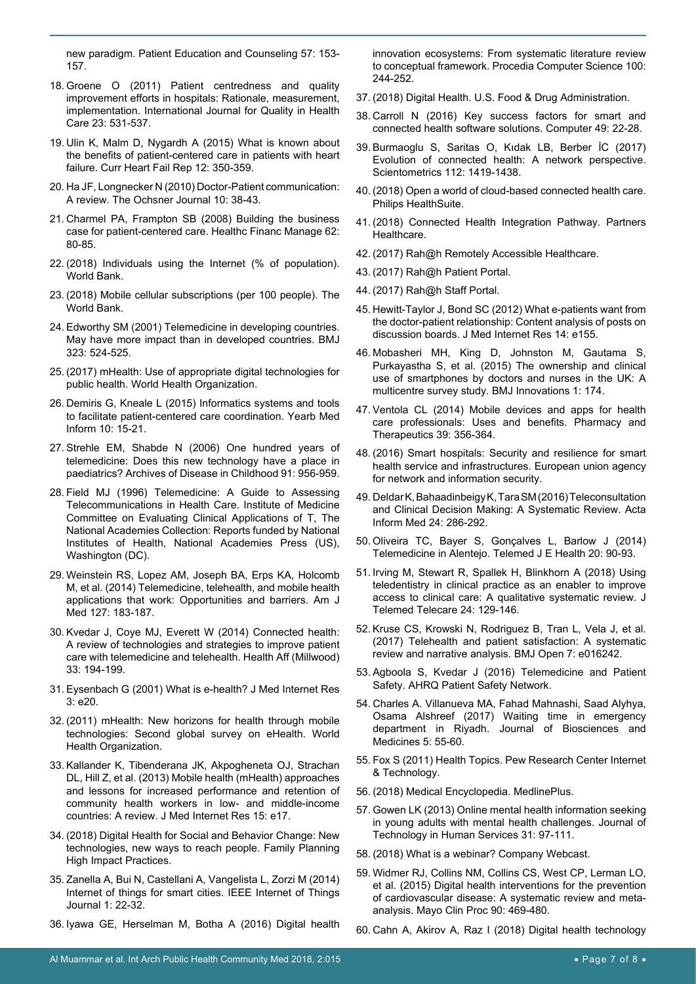[new paradigm. Patient Education and Counseling 57: 153-](https://www.sciencedirect.com/science/article/pii/S073839910400165X) [157.](https://www.sciencedirect.com/science/article/pii/S073839910400165X)

- <span id="page-6-9"></span>18. [Groene O \(2011\) Patient centredness and quality](https://academic.oup.com/intqhc/article/23/5/531/1866503)  [improvement efforts in hospitals: Rationale, measurement,](https://academic.oup.com/intqhc/article/23/5/531/1866503)  [implementation. International Journal for Quality in Health](https://academic.oup.com/intqhc/article/23/5/531/1866503)  [Care 23: 531-537.](https://academic.oup.com/intqhc/article/23/5/531/1866503)
- <span id="page-6-10"></span>19. [Ulin K, Malm D, Nygardh A \(2015\) What is known about](https://www.ncbi.nlm.nih.gov/pubmed/26497193)  [the benefits of patient-centered care in patients with heart](https://www.ncbi.nlm.nih.gov/pubmed/26497193)  [failure. Curr Heart Fail Rep 12: 350-359.](https://www.ncbi.nlm.nih.gov/pubmed/26497193)
- <span id="page-6-11"></span>20. [Ha JF, Longnecker N \(2010\) Doctor-Patient communication:](https://www.ncbi.nlm.nih.gov/pmc/articles/PMC3096184/)  [A review. The Ochsner Journal 10: 38-43.](https://www.ncbi.nlm.nih.gov/pmc/articles/PMC3096184/)
- <span id="page-6-12"></span>21. [Charmel PA, Frampton SB \(2008\) Building the business](https://www.ncbi.nlm.nih.gov/pubmed/19097611)  [case for patient-centered care. Healthc Financ Manage 62:](https://www.ncbi.nlm.nih.gov/pubmed/19097611)  [80-85.](https://www.ncbi.nlm.nih.gov/pubmed/19097611)
- <span id="page-6-0"></span>22. [\(2018\) Individuals using the Internet \(% of population\).](https://data.worldbank.org/indicator/IT.NET.USER.ZS)  [World Bank.](https://data.worldbank.org/indicator/IT.NET.USER.ZS)
- <span id="page-6-1"></span>23. [\(2018\) Mobile cellular subscriptions \(per 100 people\). The](https://data.worldbank.org/indicator/IT.CEL.SETS)  [World Bank.](https://data.worldbank.org/indicator/IT.CEL.SETS)
- <span id="page-6-2"></span>24. [Edworthy SM \(2001\) Telemedicine in developing countries.](https://www.ncbi.nlm.nih.gov/pmc/articles/PMC1121115/)  [May have more impact than in developed countries. BMJ](https://www.ncbi.nlm.nih.gov/pmc/articles/PMC1121115/)  [323: 524-525.](https://www.ncbi.nlm.nih.gov/pmc/articles/PMC1121115/)
- <span id="page-6-3"></span>25. [\(2017\) mHealth: Use of appropriate digital technologies for](http://apps.who.int/iris/handle/10665/274134)  [public health. World Health Organization.](http://apps.who.int/iris/handle/10665/274134)
- <span id="page-6-4"></span>26. [Demiris G, Kneale L \(2015\) Informatics systems and tools](https://www.ncbi.nlm.nih.gov/pubmed/26293847)  [to facilitate patient-centered care coordination. Yearb Med](https://www.ncbi.nlm.nih.gov/pubmed/26293847)  [Inform 10: 15-21.](https://www.ncbi.nlm.nih.gov/pubmed/26293847)
- <span id="page-6-5"></span>27. [Strehle EM, Shabde N \(2006\) One hundred years of](https://www.ncbi.nlm.nih.gov/pmc/articles/PMC2082971/)  [telemedicine: Does this new technology have a place in](https://www.ncbi.nlm.nih.gov/pmc/articles/PMC2082971/)  [paediatrics? Archives of Disease in Childhood 91: 956-959.](https://www.ncbi.nlm.nih.gov/pmc/articles/PMC2082971/)
- <span id="page-6-6"></span>28. [Field MJ \(1996\) Telemedicine: A Guide to Assessing](https://www.ncbi.nlm.nih.gov/pubmed/20845554)  [Telecommunications in Health Care. Institute of Medicine](https://www.ncbi.nlm.nih.gov/pubmed/20845554)  [Committee on Evaluating Clinical Applications of T, The](https://www.ncbi.nlm.nih.gov/pubmed/20845554)  [National Academies Collection: Reports funded by National](https://www.ncbi.nlm.nih.gov/pubmed/20845554)  [Institutes of Health, National Academies Press \(US\),](https://www.ncbi.nlm.nih.gov/pubmed/20845554)  [Washington \(DC\).](https://www.ncbi.nlm.nih.gov/pubmed/20845554)
- <span id="page-6-7"></span>29. [Weinstein RS, Lopez AM, Joseph BA, Erps KA, Holcomb](https://www.ncbi.nlm.nih.gov/pubmed/24384059)  [M, et al. \(2014\) Telemedicine, telehealth, and mobile health](https://www.ncbi.nlm.nih.gov/pubmed/24384059)  [applications that work: Opportunities and barriers. Am J](https://www.ncbi.nlm.nih.gov/pubmed/24384059)  [Med 127: 183-187.](https://www.ncbi.nlm.nih.gov/pubmed/24384059)
- <span id="page-6-8"></span>30. [Kvedar J, Coye MJ, Everett W \(2014\) Connected health:](https://www.ncbi.nlm.nih.gov/pubmed/24493760)  [A review of technologies and strategies to improve patient](https://www.ncbi.nlm.nih.gov/pubmed/24493760)  [care with telemedicine and telehealth. Health Aff \(Millwood\)](https://www.ncbi.nlm.nih.gov/pubmed/24493760)  [33: 194-199.](https://www.ncbi.nlm.nih.gov/pubmed/24493760)
- <span id="page-6-22"></span>31. [Eysenbach G \(2001\) What is e-health? J Med Internet Res](https://www.ncbi.nlm.nih.gov/pmc/articles/PMC1761894/)  [3: e20.](https://www.ncbi.nlm.nih.gov/pmc/articles/PMC1761894/)
- <span id="page-6-23"></span>32. [\(2011\) mHealth: New horizons for health through mobile](http://apps.who.int/iris/handle/10665/44607)  [technologies: Second global survey on eHealth. World](http://apps.who.int/iris/handle/10665/44607)  [Health Organization.](http://apps.who.int/iris/handle/10665/44607)
- <span id="page-6-24"></span>33. [Kallander K, Tibenderana JK, Akpogheneta OJ, Strachan](https://www.ncbi.nlm.nih.gov/pubmed/23353680)  [DL, Hill Z, et al. \(2013\) Mobile health \(mHealth\) approaches](https://www.ncbi.nlm.nih.gov/pubmed/23353680)  [and lessons for increased performance and retention of](https://www.ncbi.nlm.nih.gov/pubmed/23353680)  [community health workers in low- and middle-income](https://www.ncbi.nlm.nih.gov/pubmed/23353680)  [countries: A review. J Med Internet Res 15: e17.](https://www.ncbi.nlm.nih.gov/pubmed/23353680)
- <span id="page-6-25"></span>34. [\(2018\) Digital Health for Social and Behavior Change: New](https://www.fphighimpactpractices.org/briefs/digital-health-sbc/)  [technologies, new ways to reach people. Family Planning](https://www.fphighimpactpractices.org/briefs/digital-health-sbc/)  [High Impact Practices.](https://www.fphighimpactpractices.org/briefs/digital-health-sbc/)
- <span id="page-6-26"></span>35. [Zanella A, Bui N, Castellani A, Vangelista L, Zorzi M \(2014\)](https://ieeexplore.ieee.org/document/6740844/authors#authors)  [Internet of things for smart cities. IEEE Internet of Things](https://ieeexplore.ieee.org/document/6740844/authors#authors)  [Journal 1: 22-32.](https://ieeexplore.ieee.org/document/6740844/authors#authors)
- <span id="page-6-27"></span>36. [Iyawa GE, Herselman M, Botha A \(2016\) Digital health](https://www.sciencedirect.com/science/article/pii/S1877050916323171)

[innovation ecosystems: From systematic literature review](https://www.sciencedirect.com/science/article/pii/S1877050916323171)  [to conceptual framework. Procedia Computer Science 100:](https://www.sciencedirect.com/science/article/pii/S1877050916323171)  [244-252.](https://www.sciencedirect.com/science/article/pii/S1877050916323171)

- <span id="page-6-28"></span>37. [\(2018\) Digital Health. U.S. Food & Drug Administration.](https://www.fda.gov/medicaldevices/digitalhealth/)
- <span id="page-6-29"></span>38. [Carroll N \(2016\) Key success factors for smart and](https://ieeexplore.ieee.org/document/7742288)  [connected health software solutions. Computer 49: 22-28.](https://ieeexplore.ieee.org/document/7742288)
- <span id="page-6-13"></span>39. [Burmaoglu S, Saritas O, Kıdak LB, Berber İC \(2017\)](https://link.springer.com/article/10.1007/s11192-017-2431-x)  [Evolution of connected health: A network perspective.](https://link.springer.com/article/10.1007/s11192-017-2431-x)  [Scientometrics 112: 1419-1438.](https://link.springer.com/article/10.1007/s11192-017-2431-x)
- <span id="page-6-14"></span>40. [\(2018\) Open a world of cloud-based connected health care.](https://www.philips.co.uk/healthcare/innovation/about-health-suite)  [Philips HealthSuite.](https://www.philips.co.uk/healthcare/innovation/about-health-suite)
- <span id="page-6-15"></span>41. [\(2018\) Connected Health Integration Pathway. Partners](https://connectedhealth.partners.org/work-with-us/pghdconnect/)  [Healthcare.](https://connectedhealth.partners.org/work-with-us/pghdconnect/)
- <span id="page-6-16"></span>42. [\(2017\) Rah@h Remotely Accessible Healthcare.](http://rahah.org/)
- 43. [\(2017\) Rah@h Patient Portal.](http://rahah.org/wp-content/uploads/2018/02/RAH@H-Patient-Portal-User-Guide.pdf)
- <span id="page-6-17"></span>44. [\(2017\) Rah@h Staff Portal.](http://rahah.org/wp-content/uploads/2018/02/RAH@H-Staff-Portal-User-Guide.pdf)
- <span id="page-6-18"></span>45. [Hewitt-Taylor J, Bond SC \(2012\) What e-patients want from](https://www.ncbi.nlm.nih.gov/pubmed/23137788)  [the doctor-patient relationship: Content analysis of posts on](https://www.ncbi.nlm.nih.gov/pubmed/23137788)  [discussion boards. J Med Internet Res 14: e155.](https://www.ncbi.nlm.nih.gov/pubmed/23137788)
- <span id="page-6-19"></span>46. [Mobasheri MH, King D, Johnston M, Gautama S,](https://innovations.bmj.com/content/1/4/174)  [Purkayastha S, et al. \(2015\) The ownership and clinical](https://innovations.bmj.com/content/1/4/174)  [use of smartphones by doctors and nurses in the UK: A](https://innovations.bmj.com/content/1/4/174)  [multicentre survey study. BMJ Innovations 1: 174.](https://innovations.bmj.com/content/1/4/174)
- <span id="page-6-20"></span>47. [Ventola CL \(2014\) Mobile devices and apps for health](https://www.ncbi.nlm.nih.gov/pmc/articles/PMC4029126/)  [care professionals: Uses and benefits. Pharmacy and](https://www.ncbi.nlm.nih.gov/pmc/articles/PMC4029126/)  [Therapeutics 39: 356-364.](https://www.ncbi.nlm.nih.gov/pmc/articles/PMC4029126/)
- <span id="page-6-21"></span>48. [\(2016\) Smart hospitals: Security and resilience for smart](https://www.aeteurope.com/news/smart-hospitals-security/)  [health service and infrastructures. European union agency](https://www.aeteurope.com/news/smart-hospitals-security/)  [for network and information security.](https://www.aeteurope.com/news/smart-hospitals-security/)
- <span id="page-6-30"></span>49. [Deldar K, Bahaadinbeigy K, Tara SM \(2016\) Teleconsultation](https://www.ncbi.nlm.nih.gov/pubmed/27708494)  [and Clinical Decision Making: A Systematic Review. Acta](https://www.ncbi.nlm.nih.gov/pubmed/27708494)  [Inform Med 24: 286-292.](https://www.ncbi.nlm.nih.gov/pubmed/27708494)
- <span id="page-6-31"></span>50. [Oliveira TC, Bayer S, Gonçalves L, Barlow J \(2014\)](https://www.ncbi.nlm.nih.gov/pmc/articles/PMC3880063/)  [Telemedicine in Alentejo. Telemed J E Health 20: 90-93.](https://www.ncbi.nlm.nih.gov/pmc/articles/PMC3880063/)
- <span id="page-6-32"></span>51. [Irving M, Stewart R, Spallek H, Blinkhorn A \(2018\) Using](https://www.ncbi.nlm.nih.gov/pubmed/28092220)  [teledentistry in clinical practice as an enabler to improve](https://www.ncbi.nlm.nih.gov/pubmed/28092220)  [access to clinical care: A qualitative systematic review. J](https://www.ncbi.nlm.nih.gov/pubmed/28092220)  [Telemed Telecare 24: 129-146.](https://www.ncbi.nlm.nih.gov/pubmed/28092220)
- <span id="page-6-33"></span>52. [Kruse CS, Krowski N, Rodriguez B, Tran L, Vela J, et al.](https://bmjopen.bmj.com/content/7/8/e016242)  [\(2017\) Telehealth and patient satisfaction: A systematic](https://bmjopen.bmj.com/content/7/8/e016242)  [review and narrative analysis. BMJ Open 7: e016242.](https://bmjopen.bmj.com/content/7/8/e016242)
- <span id="page-6-34"></span>53. [Agboola S, Kvedar J \(2016\) Telemedicine and Patient](https://psnet.ahrq.gov/perspectives/perspective/206/telemedicine-and-patient-safety#ref1)  [Safety. AHRQ Patient Safety Network.](https://psnet.ahrq.gov/perspectives/perspective/206/telemedicine-and-patient-safety#ref1)
- <span id="page-6-35"></span>54. [Charles A. Villanueva MA, Fahad Mahnashi, Saad Alyhya,](https://www.scirp.org/journal/PaperInforCitation.aspx?PaperID=74829)  [Osama Alshreef \(2017\) Waiting time in emergency](https://www.scirp.org/journal/PaperInforCitation.aspx?PaperID=74829)  [department in Riyadh. Journal of Biosciences and](https://www.scirp.org/journal/PaperInforCitation.aspx?PaperID=74829)  [Medicines 5: 55-60.](https://www.scirp.org/journal/PaperInforCitation.aspx?PaperID=74829)
- <span id="page-6-36"></span>55. [Fox S \(2011\) Health Topics. Pew Research Center Internet](http://www.pewinternet.org/2011/02/01/health-topics-2/)  [& Technology.](http://www.pewinternet.org/2011/02/01/health-topics-2/)
- <span id="page-6-37"></span>56. [\(2018\) Medical Encyclopedia. MedlinePlus.](https://medlineplus.gov/encyclopedia.html)
- <span id="page-6-38"></span>57. [Gowen LK \(2013\) Online mental health information seeking](https://www.tandfonline.com/doi/abs/10.1080/15228835.2013.765533)  [in young adults with mental health challenges. Journal of](https://www.tandfonline.com/doi/abs/10.1080/15228835.2013.765533)  [Technology in Human Services 31: 97-111.](https://www.tandfonline.com/doi/abs/10.1080/15228835.2013.765533)
- <span id="page-6-39"></span>58. [\(2018\) What is a webinar? Company Webcast.](https://www.webinar.nl/en/webinars/what-is-a-webinar/)
- <span id="page-6-40"></span>59. [Widmer RJ, Collins NM, Collins CS, West CP, Lerman LO,](https://www.ncbi.nlm.nih.gov/pubmed/25841251)  [et al. \(2015\) Digital health interventions for the prevention](https://www.ncbi.nlm.nih.gov/pubmed/25841251)  [of cardiovascular disease: A systematic review and meta](https://www.ncbi.nlm.nih.gov/pubmed/25841251)[analysis. Mayo Clin Proc 90: 469-480.](https://www.ncbi.nlm.nih.gov/pubmed/25841251)
- <span id="page-6-41"></span>60. [Cahn A, Akirov A, Raz I \(2018\) Digital health technology](https://www.ncbi.nlm.nih.gov/pubmed/28872765)